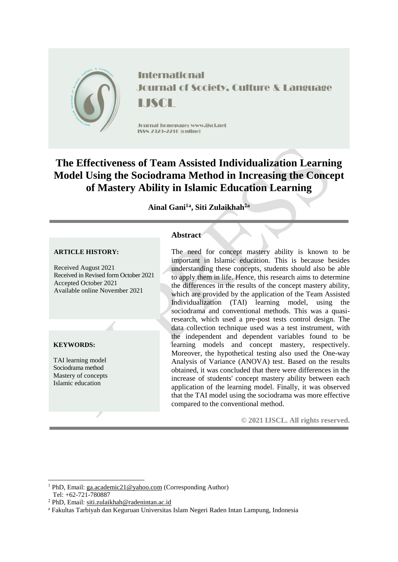

**International Journal of Society, Culture & Language LISCE** 

Jcurnal homepage: www.ijscl.net ISSN 2329-2210 (cnline)

# **The Effectiveness of Team Assisted Individualization Learning Model Using the Sociodrama Method in Increasing the Concept of Mastery Ability in Islamic Education Learning**

**Ainal Gani1a , Siti Zulaikhah2a**

#### **ARTICLE HISTORY:**

Received August 2021 Received in Revised form October 2021 Accepted October 2021 Available online November 2021

#### **KEYWORDS:**

TAI learning model Sociodrama method Mastery of concepts Islamic education

# **Abstract**

The need for concept mastery ability is known to be important in Islamic education. This is because besides understanding these concepts, students should also be able to apply them in life. Hence, this research aims to determine the differences in the results of the concept mastery ability, which are provided by the application of the Team Assisted Individualization (TAI) learning model, using the sociodrama and conventional methods. This was a quasiresearch, which used a pre-post tests control design. The data collection technique used was a test instrument, with the independent and dependent variables found to be learning models and concept mastery, respectively. Moreover, the hypothetical testing also used the One-way Analysis of Variance (ANOVA) test. Based on the results obtained, it was concluded that there were differences in the increase of students' concept mastery ability between each application of the learning model. Finally, it was observed that the TAI model using the sociodrama was more effective compared to the conventional method.

**© 2021 IJSCL. All rights reserved.**

-

<sup>1</sup> PhD, Email[: ga.academic21@yahoo.com](mailto:ga.academic21@yahoo.com) (Corresponding Author)

Tel: +62-721-780887

<sup>2</sup> PhD, Email[: siti.zulaikhah@radenintan.ac.id](mailto:siti.zulaikhah@radenintan.ac.id)

<sup>a</sup> Fakultas Tarbiyah dan Keguruan Universitas Islam Negeri Raden Intan Lampung, Indonesia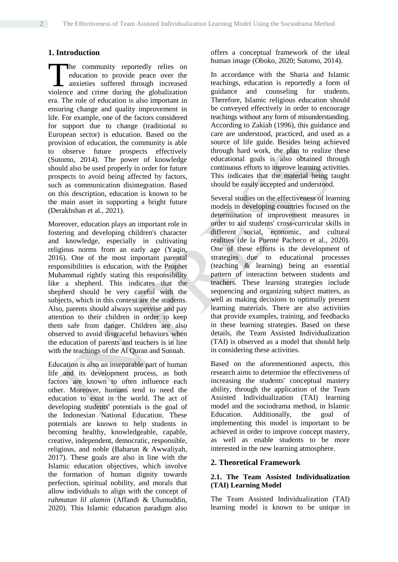# **1. Introduction**

he community reportedly relies on education to provide peace over the anxieties suffered through increased The community reportedly relies on education to provide peace over the anxieties suffered through increased violence and crime during the globalization era. The role of education is also important in ensuring change and quality improvement in life. For example, one of the factors considered for support due to change (traditional to European sector) is education. Based on the provision of education, the community is able to observe future prospects effectively (Sutomo, 2014). The power of knowledge should also be used properly in order for future prospects to avoid being affected by factors, such as communication disintegration. Based on this description, education is known to be the main asset in supporting a bright future (Derakhshan et al., 2021).

Moreover, education plays an important role in fostering and developing children's character and knowledge, especially in cultivating religious norms from an early age (Yaqin, 2016). One of the most important parental responsibilities is education, with the Prophet Muhammad rightly stating this responsibility like a shepherd. This indicates that the shepherd should be very careful with the subjects, which in this context are the students. Also, parents should always supervise and pay attention to their children in order to keep them safe from danger. Children are also observed to avoid disgraceful behaviors when the education of parents and teachers is in line with the teachings of the Al Quran and Sunnah.

Education is also an inseparable part of human life and its development process, as both factors are known to often influence each other. Moreover, humans tend to need the education to exist in the world. The act of developing students' potentials is the goal of the Indonesian National Education. These potentials are known to help students in becoming healthy, knowledgeable, capable, creative, independent, democratic, responsible, religious, and noble (Baharun & Awwaliyah, 2017). These goals are also in line with the Islamic education objectives, which involve the formation of human dignity towards perfection, spiritual nobility, and morals that allow individuals to align with the concept of *rahmatan lil alamin* (Affandi & Ulumuddin, 2020). This Islamic education paradigm also offers a conceptual framework of the ideal human image (Oboko, 2020; Sutomo, 2014).

In accordance with the Sharia and Islamic teachings, education is reportedly a form of guidance and counseling for students. Therefore, Islamic religious education should be conveyed effectively in order to encourage teachings without any form of misunderstanding. According to Zakiah (1996), this guidance and care are understood, practiced, and used as a source of life guide. Besides being achieved through hard work, the plan to realize these educational goals is also obtained through continuous efforts to improve learning activities. This indicates that the material being taught should be easily accepted and understood.

Several studies on the effectiveness of learning models in developing countries focused on the determination of improvement measures in order to aid students' cross-curricular skills in different social, economic, and cultural realities (de la Puente Pacheco et al., 2020). One of these efforts is the development of strategies due to educational processes (teaching & learning) being an essential pattern of interaction between students and teachers. These learning strategies include sequencing and organizing subject matters, as well as making decisions to optimally present learning materials. There are also activities that provide examples, training, and feedbacks in these learning strategies. Based on these details, the Team Assisted Individualization (TAI) is observed as a model that should help in considering these activities.

Based on the aforementioned aspects, this research aims to determine the effectiveness of increasing the students' conceptual mastery ability, through the application of the Team Assisted Individualization (TAI) learning model and the sociodrama method, in Islamic Education. Additionally, the goal of implementing this model is important to be achieved in order to improve concept mastery, as well as enable students to be more interested in the new learning atmosphere.

## **2. Theoretical Framework**

#### **2.1. The Team Assisted Individualization (TAI) Learning Model**

The Team Assisted Individualization (TAI) learning model is known to be unique in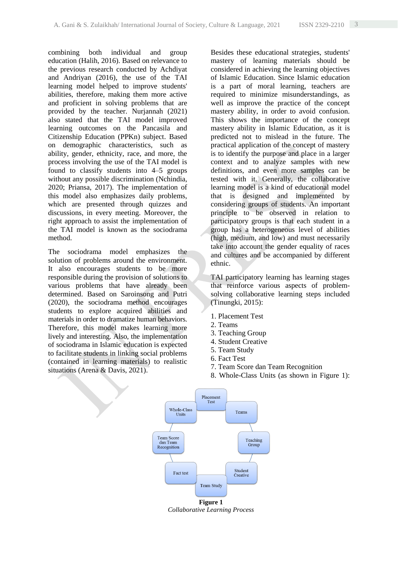combining both individual and group education (Halih, 2016). Based on relevance to the previous research conducted by Achdiyat and Andriyan (2016), the use of the TAI learning model helped to improve students' abilities, therefore, making them more active and proficient in solving problems that are provided by the teacher. Nurjannah (2021) also stated that the TAI model improved learning outcomes on the Pancasila and Citizenship Education (PPKn) subject. Based on demographic characteristics, such as ability, gender, ethnicity, race, and more, the process involving the use of the TAI model is found to classify students into 4–5 groups without any possible discrimination (Nchindia, 2020; Priansa, 2017). The implementation of this model also emphasizes daily problems, which are presented through quizzes and discussions, in every meeting. Moreover, the right approach to assist the implementation of the TAI model is known as the sociodrama method.

The sociodrama model emphasizes the solution of problems around the environment. It also encourages students to be more responsible during the provision of solutions to various problems that have already been determined. Based on Saroinsong and Putri (2020), the sociodrama method encourages students to explore acquired abilities and materials in order to dramatize human behaviors. Therefore, this model makes learning more lively and interesting. Also, the implementation of sociodrama in Islamic education is expected to facilitate students in linking social problems (contained in learning materials) to realistic situations (Arena & Davis, 2021).

Besides these educational strategies, students' mastery of learning materials should be considered in achieving the learning objectives of Islamic Education. Since Islamic education is a part of moral learning, teachers are required to minimize misunderstandings, as well as improve the practice of the concept mastery ability, in order to avoid confusion. This shows the importance of the concept mastery ability in Islamic Education, as it is predicted not to mislead in the future. The practical application of the concept of mastery is to identify the purpose and place in a larger context and to analyze samples with new definitions, and even more samples can be tested with it. Generally, the collaborative learning model is a kind of educational model that is designed and implemented by considering groups of students. An important principle to be observed in relation to participatory groups is that each student in a group has a heterogeneous level of abilities (high, medium, and low) and must necessarily take into account the gender equality of races and cultures and be accompanied by different ethnic.

TAI participatory learning has learning stages that reinforce various aspects of problemsolving collaborative learning steps included (Tinungki, 2015):

- 1. Placement Test
- 2. Teams
- 3. Teaching Group
- 4. Student Creative
- 5. Team Study
- 6. Fact Test
- 7. Team Score dan Team Recognition
- 8. Whole-Class Units (as shown in Figure 1):



*Collaborative Learning Process*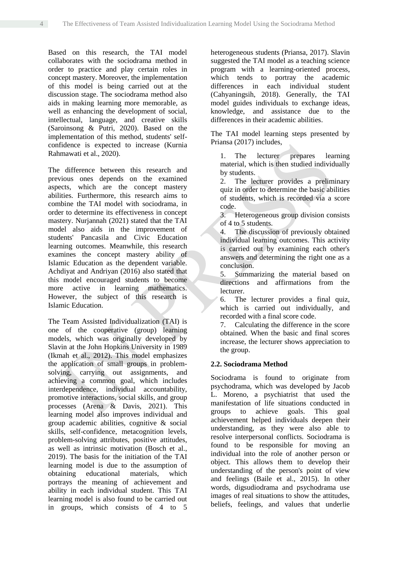Based on this research, the TAI model collaborates with the sociodrama method in order to practice and play certain roles in concept mastery. Moreover, the implementation of this model is being carried out at the discussion stage. The sociodrama method also aids in making learning more memorable, as well as enhancing the development of social, intellectual, language, and creative skills (Saroinsong & Putri, 2020). Based on the implementation of this method, students' selfconfidence is expected to increase (Kurnia Rahmawati et al., 2020).

The difference between this research and previous ones depends on the examined aspects, which are the concept mastery abilities. Furthermore, this research aims to combine the TAI model with sociodrama, in order to determine its effectiveness in concept mastery. Nurjannah (2021) stated that the TAI model also aids in the improvement of students' Pancasila and Civic Education learning outcomes. Meanwhile, this research examines the concept mastery ability of Islamic Education as the dependent variable. Achdiyat and Andriyan (2016) also stated that this model encouraged students to become more active in learning mathematics. However, the subject of this research is Islamic Education.

The Team Assisted Individualization (TAI) is one of the cooperative (group) learning models, which was originally developed by Slavin at the John Hopkins University in 1989 (Ikmah et al., 2012). This model emphasizes the application of small groups in problemsolving, carrying out assignments, and achieving a common goal, which includes interdependence, individual accountability, promotive interactions, social skills, and group processes (Arena & Davis, 2021). This learning model also improves individual and group academic abilities, cognitive & social skills, self-confidence, metacognition levels, problem-solving attributes, positive attitudes, as well as intrinsic motivation (Bosch et al., 2019). The basis for the initiation of the TAI learning model is due to the assumption of obtaining educational materials, which portrays the meaning of achievement and ability in each individual student. This TAI learning model is also found to be carried out in groups, which consists of 4 to 5

heterogeneous students (Priansa, 2017). Slavin suggested the TAI model as a teaching science program with a learning-oriented process, which tends to portray the academic differences in each individual student (Cahyaningsih, 2018). Generally, the TAI model guides individuals to exchange ideas, knowledge, and assistance due to the differences in their academic abilities.

The TAI model learning steps presented by Priansa (2017) includes,

1. The lecturer prepares learning material, which is then studied individually by students.

2. The lecturer provides a preliminary quiz in order to determine the basic abilities of students, which is recorded via a score code.

3. Heterogeneous group division consists of 4 to 5 students.

4. The discussion of previously obtained individual learning outcomes. This activity is carried out by examining each other's answers and determining the right one as a conclusion.

5. Summarizing the material based on directions and affirmations from the lecturer.

6. The lecturer provides a final quiz, which is carried out individually, and recorded with a final score code.

7. Calculating the difference in the score obtained. When the basic and final scores increase, the lecturer shows appreciation to the group.

# **2.2. Sociodrama Method**

Sociodrama is found to originate from psychodrama, which was developed by Jacob L. Moreno, a psychiatrist that used the manifestation of life situations conducted in groups to achieve goals. This goal achievement helped individuals deepen their understanding, as they were also able to resolve interpersonal conflicts. Sociodrama is found to be responsible for moving an individual into the role of another person or object. This allows them to develop their understanding of the person's point of view and feelings (Baile et al., 2015). In other words, digsudiodrama and psychodrama use images of real situations to show the attitudes, beliefs, feelings, and values that underlie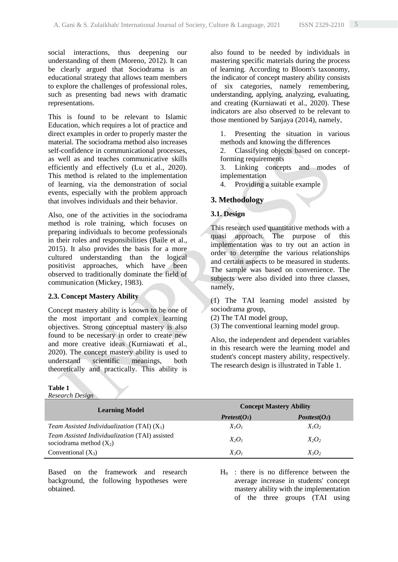social interactions, thus deepening our understanding of them (Moreno, 2012). It can be clearly argued that Sociodrama is an educational strategy that allows team members to explore the challenges of professional roles, such as presenting bad news with dramatic representations.

This is found to be relevant to Islamic Education, which requires a lot of practice and direct examples in order to properly master the material. The sociodrama method also increases self-confidence in communicational processes, as well as and teaches communicative skills efficiently and effectively (Lu et al., 2020). This method is related to the implementation of learning, via the demonstration of social events, especially with the problem approach that involves individuals and their behavior.

Also, one of the activities in the sociodrama method is role training, which focuses on preparing individuals to become professionals in their roles and responsibilities (Baile et al., 2015). It also provides the basis for a more cultured understanding than the logical positivist approaches, which have been observed to traditionally dominate the field of communication (Mickey, 1983).

## **2.3. Concept Mastery Ability**

Concept mastery ability is known to be one of the most important and complex learning objectives. Strong conceptual mastery is also found to be necessary in order to create new and more creative ideas (Kurniawati et al., 2020). The concept mastery ability is used to understand scientific meanings, both theoretically and practically. This ability is

#### **Table 1**

*Research Design*

also found to be needed by individuals in mastering specific materials during the process of learning. According to Bloom's taxonomy, the indicator of concept mastery ability consists of six categories, namely remembering, understanding, applying, analyzing, evaluating, and creating (Kurniawati et al., 2020). These indicators are also observed to be relevant to those mentioned by Sanjaya (2014), namely,

1. Presenting the situation in various methods and knowing the differences

2. Classifying objects based on conceptforming requirements

3. Linking concepts and modes of implementation

4. Providing a suitable example

# **3. Methodology**

## **3.1. Design**

This research used quantitative methods with a quasi approach. The purpose of this implementation was to try out an action in order to determine the various relationships and certain aspects to be measured in students. The sample was based on convenience. The subjects were also divided into three classes, namely,

(1) The TAI learning model assisted by sociodrama group,

(2) The TAI model group,

(3) The conventional learning model group.

Also, the independent and dependent variables in this research were the learning model and student's concept mastery ability, respectively. The research design is illustrated in Table 1.

| Research Design                                                                    |                                |                 |  |  |
|------------------------------------------------------------------------------------|--------------------------------|-----------------|--|--|
| <b>Learning Model</b>                                                              | <b>Concept Mastery Ability</b> |                 |  |  |
|                                                                                    | Pretest(O <sub>1</sub> )       | $Posttest(O_2)$ |  |  |
| Team Assisted Individualization (TAI) $(X_1)$                                      | $X_{l}O_{l}$                   | $X_1O_2$        |  |  |
| <i>Team Assisted Individualization</i> (TAI) assisted<br>sociodrama method $(X_2)$ | $X_2O_1$                       | $X_2O_2$        |  |  |
| Conventional $(X_3)$                                                               | $X_3O_1$                       | $X_3O_2$        |  |  |

Based on the framework and research background, the following hypotheses were obtained.

 $H_0$ : there is no difference between the average increase in students' concept mastery ability with the implementation of the three groups (TAI using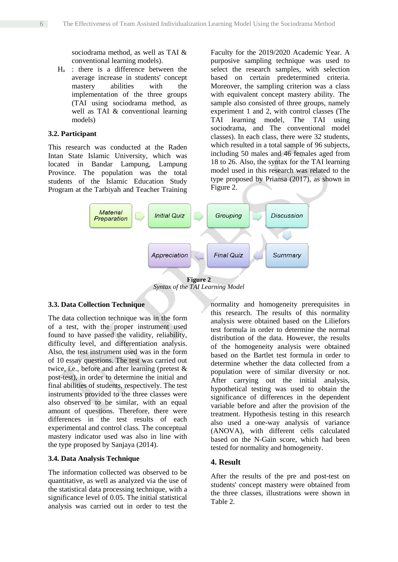sociodrama method, as well as TAI & conventional learning models).

 $H<sub>a</sub>$  : there is a difference between the average increase in students' concept mastery abilities with the implementation of the three groups (TAI using sociodrama method, as well as TAI & conventional learning models)

#### **3.2. Participant**

This research was conducted at the Raden Intan State Islamic University, which was located in Bandar Lampung, Lampung Province. The population was the total students of the Islamic Education Study Program at the Tarbiyah and Teacher Training Faculty for the 2019/2020 Academic Year. A purposive sampling technique was used to select the research samples, with selection based on certain predetermined criteria. Moreover, the sampling criterion was a class with equivalent concept mastery ability. The sample also consisted of three groups, namely experiment 1 and 2, with control classes (The TAI learning model, The TAI using sociodrama, and The conventional model classes). In each class, there were 32 students, which resulted in a total sample of 96 subjects, including 50 males and 46 females aged from 18 to 26. Also, the syntax for the TAI learning model used in this research was related to the type proposed by Priansa (2017), as shown in Figure 2.



*Syntax of the TAI Learning Model*

## **3.3. Data Collection Technique**

The data collection technique was in the form of a test, with the proper instrument used found to have passed the validity, reliability, difficulty level, and differentiation analysis. Also, the test instrument used was in the form of 10 essay questions. The test was carried out twice, i.e., before and after learning (pretest & post-test), in order to determine the initial and final abilities of students, respectively. The test instruments provided to the three classes were also observed to be similar, with an equal amount of questions. Therefore, there were differences in the test results of each experimental and control class. The conceptual mastery indicator used was also in line with the type proposed by Sanjaya (2014).

## **3.4. Data Analysis Technique**

The information collected was observed to be quantitative, as well as analyzed via the use of the statistical data processing technique, with a significance level of 0.05. The initial statistical analysis was carried out in order to test the

normality and homogeneity prerequisites in this research. The results of this normality analysis were obtained based on the Liliefors test formula in order to determine the normal distribution of the data. However, the results of the homogeneity analysis were obtained based on the Bartlet test formula in order to determine whether the data collected from a population were of similar diversity or not. After carrying out the initial analysis, hypothetical testing was used to obtain the significance of differences in the dependent variable before and after the provision of the treatment. Hypothesis testing in this research also used a one-way analysis of variance (ANOVA), with different cells calculated based on the N-Gain score, which had been tested for normality and homogeneity.

## **4. Result**

After the results of the pre and post-test on students' concept mastery were obtained from the three classes, illustrations were shown in Table 2.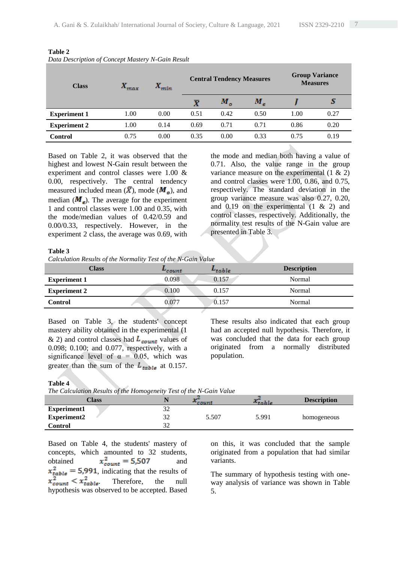| <b>Class</b>        | $X_{max}$ | $X_{min}$ | <b>Central Tendency Measures</b> |         |      | <b>Group Variance</b><br><b>Measures</b> |      |
|---------------------|-----------|-----------|----------------------------------|---------|------|------------------------------------------|------|
|                     |           |           | $\boldsymbol{\bar{X}}$           | $M_{o}$ | М,   |                                          | a    |
| <b>Experiment 1</b> | 1.00      | 0.00      | 0.51                             | 0.42    | 0.50 | 1.00                                     | 0.27 |
| <b>Experiment 2</b> | 1.00      | 0.14      | 0.69                             | 0.71    | 0.71 | 0.86                                     | 0.20 |
| <b>Control</b>      | 0.75      | 0.00      | 0.35                             | 0.00    | 0.33 | 0.75                                     | 0.19 |

**Table 2** *Data Description of Concept Mastery N-Gain Result*

Based on Table 2, it was observed that the highest and lowest N-Gain result between the experiment and control classes were 1.00 & 0.00, respectively. The central tendency measured included mean  $(\bar{X})$ , mode  $(M_o)$ , and median  $(M_e)$ . The average for the experiment 1 and control classes were 1.00 and 0.35, with the mode/median values of 0.42/0.59 and 0.00/0.33, respectively. However, in the experiment 2 class, the average was 0.69, with

the mode and median both having a value of 0.71. Also, the value range in the group variance measure on the experimental  $(1 \& 2)$ and control classes were 1.00, 0.86, and 0.75, respectively. The standard deviation in the group variance measure was also 0.27, 0.20, and  $0.19$  on the experimental  $(1 \& 2)$  and control classes, respectively. Additionally, the normality test results of the N-Gain value are presented in Table 3.

#### **Table 3**

*Calculation Results of the Normality Test of the N-Gain Value*

| <b>Class</b>        | <del>″</del> count | $L_{table}$ | <b>Description</b> |
|---------------------|--------------------|-------------|--------------------|
| <b>Experiment 1</b> | 0.098              | 0.157       | Normal             |
| <b>Experiment 2</b> | 0.100              | 0.157       | Normal             |
| <b>Control</b>      | 0.077              | 0.157       | Normal             |

Based on Table 3, the students' concept mastery ability obtained in the experimental (1 & 2) and control classes had  $L_{count}$  values of 0.098; 0.100; and 0.077, respectively, with a significance level of  $\alpha = 0.05$ , which was greater than the sum of the  $L_{table}$  at 0.157. These results also indicated that each group had an accepted null hypothesis. Therefore, it was concluded that the data for each group originated from a normally distributed population.

#### **Table 4**

*The Calculation Results of the Homogeneity Test of the N-Gain Value*

| <b>Class</b>       |    | $^{\sim}$ count | معود<br>$\lambda$ table | <b>Description</b> |
|--------------------|----|-----------------|-------------------------|--------------------|
| Experiment1        |    |                 |                         |                    |
| <b>Experiment2</b> | າາ | 5.507           | 5.991                   | homogeneous        |
| <b>Control</b>     |    |                 |                         |                    |

Based on Table 4, the students' mastery of concepts, which amounted to 32 students, obtained  $x_{count}^2 = 5,507$  and  $x_{table}^2 = 5,991$ , indicating that the results of  $x_{count}^2 < x_{table}^2$ . Therefore, the null hypothesis was observed to be accepted. Based on this, it was concluded that the sample originated from a population that had similar variants.

The summary of hypothesis testing with oneway analysis of variance was shown in Table 5.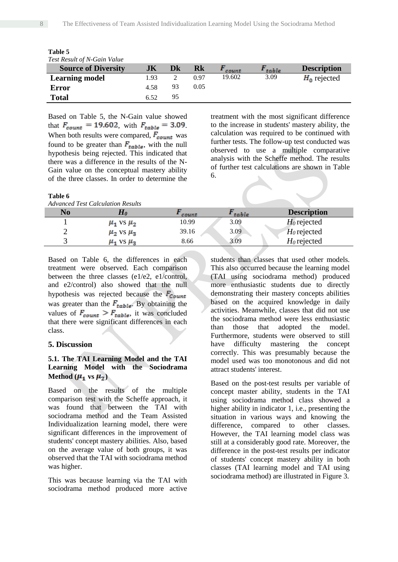| Test Result of N-Gain Value |      |    |      |        |       |                    |
|-----------------------------|------|----|------|--------|-------|--------------------|
| <b>Source of Diversity</b>  | JК   | Dk | Rk   | count  | table | <b>Description</b> |
| <b>Learning model</b>       | 1.93 |    | 0.97 | 19.602 | 3.09  | $H_0$ rejected     |
| Error                       | 4.58 | 93 | 0.05 |        |       |                    |
| <b>Total</b>                | 6.52 | 95 |      |        |       |                    |

**Table 5**

Based on Table 5, the N-Gain value showed that  $F_{count} = 19.602$ , with  $F_{table} = 3.09$ . When both results were compared,  $F_{count}$  was found to be greater than  $F_{table}$ , with the null hypothesis being rejected. This indicated that there was a difference in the results of the N-Gain value on the conceptual mastery ability of the three classes. In order to determine the

#### **Table 6**

treatment with the most significant difference to the increase in students' mastery ability, the calculation was required to be continued with further tests. The follow-up test conducted was observed to use a multiple comparative analysis with the Scheffe method. The results of further test calculations are shown in Table 6.

|    | <b>Advanced Test Calculation Results</b> |       |       |                    |
|----|------------------------------------------|-------|-------|--------------------|
| No | Ho                                       | count | table | <b>Description</b> |
|    | $\mu_1$ vs $\mu_2$                       | 10.99 | 3.09  | $H_0$ rejected     |
|    | $\mu_2$ vs $\mu_3$                       | 39.16 | 3.09  | $H_0$ rejected     |
|    | $\mu_1$ vs $\mu_3$                       | 8.66  | 3.09  | $H_0$ rejected     |

Based on Table 6, the differences in each treatment were observed. Each comparison between the three classes (e1/e2, e1/control, and e2/control) also showed that the null hypothesis was rejected because the  $F_{Count}$ was greater than the  $F_{table}$ . By obtaining the values of  $F_{count} > F_{table}$ , it was concluded that there were significant differences in each class.

#### **5. Discussion**

## **5.1. The TAI Learning Model and the TAI Learning Model with the Sociodrama Method**  $(\mu_1$  vs  $\mu_2)$

Based on the results of the multiple comparison test with the Scheffe approach, it was found that between the TAI with sociodrama method and the Team Assisted Individualization learning model, there were significant differences in the improvement of students' concept mastery abilities. Also, based on the average value of both groups, it was observed that the TAI with sociodrama method was higher.

This was because learning via the TAI with sociodrama method produced more active

students than classes that used other models. This also occurred because the learning model (TAI using sociodrama method) produced more enthusiastic students due to directly demonstrating their mastery concepts abilities based on the acquired knowledge in daily activities. Meanwhile, classes that did not use the sociodrama method were less enthusiastic than those that adopted the model. Furthermore, students were observed to still have difficulty mastering the concept correctly. This was presumably because the model used was too monotonous and did not attract students' interest.

Based on the post-test results per variable of concept master ability, students in the TAI using sociodrama method class showed a higher ability in indicator 1, i.e., presenting the situation in various ways and knowing the difference, compared to other classes. However, the TAI learning model class was still at a considerably good rate. Moreover, the difference in the post-test results per indicator of students' concept mastery ability in both classes (TAI learning model and TAI using sociodrama method) are illustrated in Figure 3.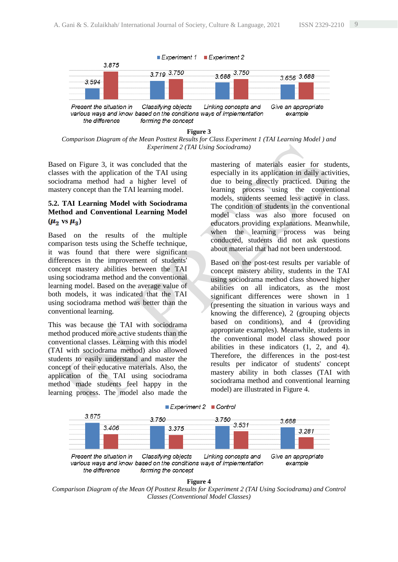

**Figure 3** *Comparison Diagram of the Mean Posttest Results for Class Experiment 1 (TAI Learning Model ) and Experiment 2 (TAI Using Sociodrama)*

Based on Figure 3, it was concluded that the classes with the application of the TAI using sociodrama method had a higher level of mastery concept than the TAI learning model.

# **5.2. TAI Learning Model with Sociodrama Method and Conventional Learning Model**  $(\mu_2$  vs  $\mu_3)$

Based on the results of the multiple comparison tests using the Scheffe technique, it was found that there were significant differences in the improvement of students' concept mastery abilities between the TAI using sociodrama method and the conventional learning model. Based on the average value of both models, it was indicated that the TAI using sociodrama method was better than the conventional learning.

This was because the TAI with sociodrama method produced more active students than the conventional classes. Learning with this model (TAI with sociodrama method) also allowed students to easily understand and master the concept of their educative materials. Also, the application of the TAI using sociodrama method made students feel happy in the learning process. The model also made the

mastering of materials easier for students, especially in its application in daily activities, due to being directly practiced. During the learning process using the conventional models, students seemed less active in class. The condition of students in the conventional model class was also more focused on educators providing explanations. Meanwhile, when the learning process was being conducted, students did not ask questions about material that had not been understood.

Based on the post-test results per variable of concept mastery ability, students in the TAI using sociodrama method class showed higher abilities on all indicators, as the most significant differences were shown in 1 (presenting the situation in various ways and knowing the difference), 2 (grouping objects based on conditions), and 4 (providing appropriate examples). Meanwhile, students in the conventional model class showed poor abilities in these indicators (1, 2, and 4). Therefore, the differences in the post-test results per indicator of students' concept mastery ability in both classes (TAI with sociodrama method and conventional learning model) are illustrated in Figure 4.





*Comparison Diagram of the Mean Of Posttest Results for Experiment 2 (TAI Using Sociodrama) and Control Classes (Conventional Model Classes)*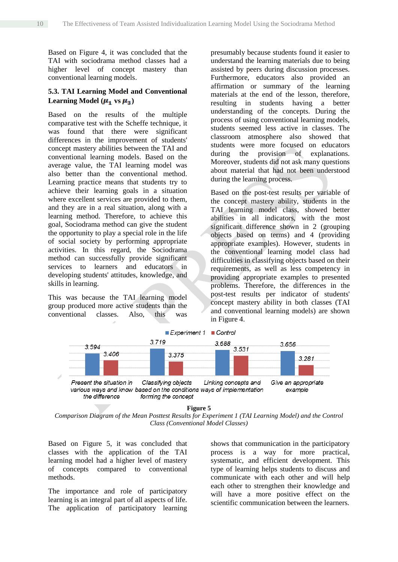Based on Figure 4, it was concluded that the TAI with sociodrama method classes had a higher level of concept mastery than conventional learning models.

# **5.3. TAI Learning Model and Conventional**  Learning Model  $(\mu_1$  vs  $\mu_3)$

Based on the results of the multiple comparative test with the Scheffe technique, it was found that there were significant differences in the improvement of students' concept mastery abilities between the TAI and conventional learning models. Based on the average value, the TAI learning model was also better than the conventional method. Learning practice means that students try to achieve their learning goals in a situation where excellent services are provided to them, and they are in a real situation, along with a learning method. Therefore, to achieve this goal, Sociodrama method can give the student the opportunity to play a special role in the life of social society by performing appropriate activities. In this regard, the Sociodrama method can successfully provide significant services to learners and educators in developing students' attitudes, knowledge, and skills in learning.

This was because the TAI learning model group produced more active students than the conventional classes. Also, this was presumably because students found it easier to understand the learning materials due to being assisted by peers during discussion processes. Furthermore, educators also provided an affirmation or summary of the learning materials at the end of the lesson, therefore, resulting in students having a better understanding of the concepts. During the process of using conventional learning models, students seemed less active in classes. The classroom atmosphere also showed that students were more focused on educators during the provision of explanations. Moreover, students did not ask many questions about material that had not been understood during the learning process.

Based on the post-test results per variable of the concept mastery ability, students in the TAI learning model class, showed better abilities in all indicators, with the most significant difference shown in 2 (grouping objects based on terms) and 4 (providing appropriate examples). However, students in the conventional learning model class had difficulties in classifying objects based on their requirements, as well as less competency in providing appropriate examples to presented problems. Therefore, the differences in the post-test results per indicator of students' concept mastery ability in both classes (TAI and conventional learning models) are shown in Figure 4.



**Figure 5**

*Comparison Diagram of the Mean Posttest Results for Experiment 1 (TAI Learning Model) and the Control Class (Conventional Model Classes)*

Based on Figure 5, it was concluded that classes with the application of the TAI learning model had a higher level of mastery of concepts compared to conventional methods.

The importance and role of participatory learning is an integral part of all aspects of life. The application of participatory learning shows that communication in the participatory process is a way for more practical, systematic, and efficient development. This type of learning helps students to discuss and communicate with each other and will help each other to strengthen their knowledge and will have a more positive effect on the scientific communication between the learners.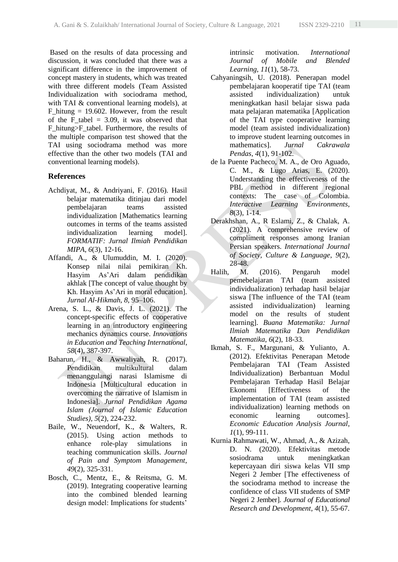Based on the results of data processing and discussion, it was concluded that there was a significant difference in the improvement of concept mastery in students, which was treated with three different models (Team Assisted Individualization with sociodrama method, with TAI & conventional learning models), at F hitung  $= 19.602$ . However, from the result of the F tabel  $= 3.09$ , it was observed that F\_hitung>F\_tabel. Furthermore, the results of the multiple comparison test showed that the TAI using sociodrama method was more effective than the other two models (TAI and conventional learning models).

# **References**

- Achdiyat, M., & Andriyani, F. (2016). Hasil belajar matematika ditinjau dari model pembelajaran teams assisted individualization [Mathematics learning outcomes in terms of the teams assisted individualization learning model]. *FORMATIF: Jurnal Ilmiah Pendidikan MIPA*, *6*(3), 12-16.
- Affandi, A., & Ulumuddin, M. I. (2020). Konsep nilai nilai pemikiran Kh. Hasyim As'Ari dalam pendidikan akhlak [The concept of value thought by Kh. Hasyim As'Ari in moral education]. *Jurnal Al-Hikmah*, *8*, 95–106.
- Arena, S. L., & Davis, J. L. (2021). The concept-specific effects of cooperative learning in an introductory engineering mechanics dynamics course. *Innovations in Education and Teaching International*, *58*(4), 387-397.
- Baharun, H., & Awwaliyah, R. (2017). Pendidikan multikultural dalam menanggulangi narasi Islamisme di Indonesia [Multicultural education in overcoming the narrative of Islamism in Indonesia]. *Jurnal Pendidikan Agama Islam (Journal of Islamic Education Studies)*, *5*(2), 224-232.
- Baile, W., Neuendorf, K., & Walters, R. (2015). Using action methods to enhance role-play simulations in teaching communication skills. *Journal of Pain and Symptom Management*, *49*(2), 325-331.
- Bosch, C., Mentz, E., & Reitsma, G. M. (2019). Integrating cooperative learning into the combined blended learning design model: Implications for students'

intrinsic motivation. *International Journal of Mobile and Blended Learning*, *11*(1), 58-73.

- Cahyaningsih, U. (2018). Penerapan model pembelajaran kooperatif tipe TAI (team assisted individualization) untuk meningkatkan hasil belajar siswa pada mata pelajaran matematika [Application of the TAI type cooperative learning model (team assisted individualization) to improve student learning outcomes in mathematics]. *Jurnal Cakrawala Pendas*, *4*(1), 91-102.
- de la Puente Pacheco, M. A., de Oro Aguado, C. M., & Lugo Arias, E. (2020). Understanding the effectiveness of the PBL method in different regional contexts: The case of Colombia. *Interactive Learning Environments*, *8*(3), 1-14.
- Derakhshan, A., R Eslami, Z., & Chalak, A. (2021). A comprehensive review of compliment responses among Iranian Persian speakers. *International Journal of Society, Culture & Language*, *9*(2), 28-48.
- Halih, M. (2016). Pengaruh model pemebelajaran TAI (team assisted individualization) terhadap hasil belajar siswa [The influence of the TAI (team assisted individualization) learning model on the results of student learning]. *Buana Matematika: Jurnal Ilmiah Matematika Dan Pendidikan Matematika*, *6*(2), 18-33.
- Ikmah, S. F., Margunani, & Yulianto, A. (2012). Efektivitas Penerapan Metode Pembelajaran TAI (Team Assisted Individualization) Berbantuan Modul Pembelajaran Terhadap Hasil Belajar Ekonomi [Effectiveness of the implementation of TAI (team assisted individualization) learning methods on economic learning outcomes]. *Economic Education Analysis Journal*, *1*(1), 99-111.
- Kurnia Rahmawati, W., Ahmad, A., & Azizah, D. N. (2020). Efektivitas metode sosiodrama untuk meningkatkan kepercayaan diri siswa kelas VII smp Negeri 2 Jember [The effectiveness of the sociodrama method to increase the confidence of class VII students of SMP Negeri 2 Jember]. *Journal of Educational Research and Development*, *4*(1), 55-67.